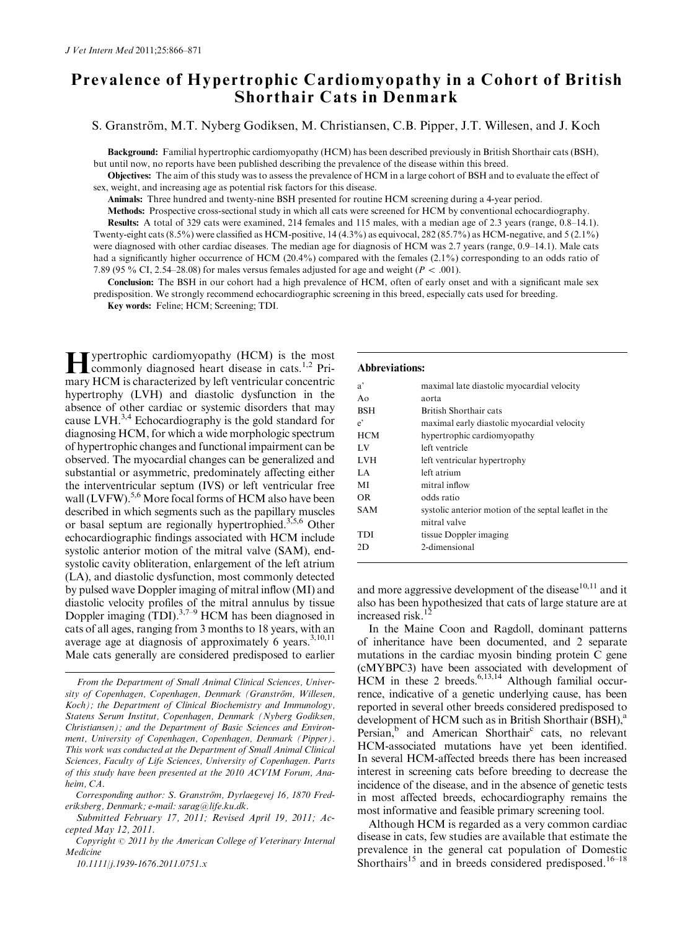# Prevalence of Hypertrophic Cardiomyopathy in a Cohort of British Shorthair Cats in Denmark

S. Granström, M.T. Nyberg Godiksen, M. Christiansen, C.B. Pipper, J.T. Willesen, and J. Koch

Background: Familial hypertrophic cardiomyopathy (HCM) has been described previously in British Shorthair cats (BSH), but until now, no reports have been published describing the prevalence of the disease within this breed.

Objectives: The aim of this study was to assess the prevalence of HCM in a large cohort of BSH and to evaluate the effect of sex, weight, and increasing age as potential risk factors for this disease.

Animals: Three hundred and twenty-nine BSH presented for routine HCM screening during a 4-year period.

Methods: Prospective cross-sectional study in which all cats were screened for HCM by conventional echocardiography.

Results: A total of 329 cats were examined, 214 females and 115 males, with a median age of 2.3 years (range, 0.8–14.1). Twenty-eight cats (8.5%) were classified as HCM-positive, 14 (4.3%) as equivocal, 282 (85.7%) as HCM-negative, and 5 (2.1%) were diagnosed with other cardiac diseases. The median age for diagnosis of HCM was 2.7 years (range, 0.9–14.1). Male cats had a significantly higher occurrence of HCM (20.4%) compared with the females (2.1%) corresponding to an odds ratio of 7.89 (95 % CI, 2.54–28.08) for males versus females adjusted for age and weight ( $P < .001$ ).

Conclusion: The BSH in our cohort had a high prevalence of HCM, often of early onset and with a significant male sex predisposition. We strongly recommend echocardiographic screening in this breed, especially cats used for breeding. Key words: Feline; HCM; Screening; TDI.

 $\prod$ ypertrophic cardiomyopathy (HCM) is the most<br>commonly diagnosed heart disease in cats.<sup>1,2</sup> Primary HCM is characterized by left ventricular concentric hypertrophy (LVH) and diastolic dysfunction in the absence of other cardiac or systemic disorders that may cause LVH. $^{3,4}$  Echocardiography is the gold standard for diagnosing HCM, for which a wide morphologic spectrum of hypertrophic changes and functional impairment can be observed. The myocardial changes can be generalized and substantial or asymmetric, predominately affecting either the interventricular septum (IVS) or left ventricular free wall (LVFW).<sup>5,6</sup> More focal forms of HCM also have been described in which segments such as the papillary muscles or basal septum are regionally hypertrophied.3,5,6 Other echocardiographic findings associated with HCM include systolic anterior motion of the mitral valve (SAM), endsystolic cavity obliteration, enlargement of the left atrium (LA), and diastolic dysfunction, most commonly detected by pulsed wave Doppler imaging of mitral inflow (MI) and diastolic velocity profiles of the mitral annulus by tissue Doppler imaging  $(TDI)$ .<sup>3,7–9</sup> HCM has been diagnosed in cats of all ages, ranging from 3 months to 18 years, with an average age at diagnosis of approximately 6 years. $3,10,11$ Male cats generally are considered predisposed to earlier

### Abbreviations:

| $a^{\prime}$ | maximal late diastolic myocardial velocity            |
|--------------|-------------------------------------------------------|
| Ao           | aorta                                                 |
| BSH          | British Shorthair cats                                |
| $e^{\cdot}$  | maximal early diastolic myocardial velocity           |
| <b>HCM</b>   | hypertrophic cardiomyopathy                           |
| LV           | left ventricle                                        |
| LVH.         | left ventricular hypertrophy                          |
| LA.          | left atrium                                           |
| МI           | mitral inflow                                         |
| OR.          | odds ratio                                            |
| SAM          | systolic anterior motion of the septal leaflet in the |
|              | mitral valve                                          |
| TDI          | tissue Doppler imaging                                |
| 2D           | 2-dimensional                                         |
|              |                                                       |

and more aggressive development of the disease $10,11$  and it also has been hypothesized that cats of large stature are at increased risk.<sup>12</sup>

In the Maine Coon and Ragdoll, dominant patterns of inheritance have been documented, and 2 separate mutations in the cardiac myosin binding protein C gene (cMYBPC3) have been associated with development of  $HCM$  in these 2 breeds.<sup>6,13,14</sup> Although familial occurrence, indicative of a genetic underlying cause, has been reported in several other breeds considered predisposed to development of HCM such as in British Shorthair (BSH),<sup>a</sup> Persian,<sup>b</sup> and American Shorthair<sup>c</sup> cats, no relevant HCM-associated mutations have yet been identified. In several HCM-affected breeds there has been increased interest in screening cats before breeding to decrease the incidence of the disease, and in the absence of genetic tests in most affected breeds, echocardiography remains the most informative and feasible primary screening tool.

Although HCM is regarded as a very common cardiac disease in cats, few studies are available that estimate the prevalence in the general cat population of Domestic Shorthairs<sup>15</sup> and in breeds considered predisposed.<sup>16–18</sup>

From the Department of Small Animal Clinical Sciences, University of Copenhagen, Copenhagen, Denmark (Granström, Willesen, Koch); the Department of Clinical Biochemistry and Immunology, Statens Serum Institut, Copenhagen, Denmark (Nyberg Godiksen, Christiansen); and the Department of Basic Sciences and Environment, University of Copenhagen, Copenhagen, Denmark (Pipper). This work was conducted at the Department of Small Animal Clinical Sciences, Faculty of Life Sciences, University of Copenhagen. Parts of this study have been presented at the 2010 ACVIM Forum, Anaheim, CA.

Corresponding author: S. Granström, Dyrlaegevej 16, 1870 Frederiksberg, Denmark; e-mail: [sarag@life.ku.dk](mailto:sarag@life.ku.dk).

Submitted February 17, 2011; Revised April 19, 2011; Accepted May 12, 2011.

Copyright  $\odot$  2011 by the American College of Veterinary Internal Medicine

<sup>10.1111/</sup>j.1939-1676.2011.0751.x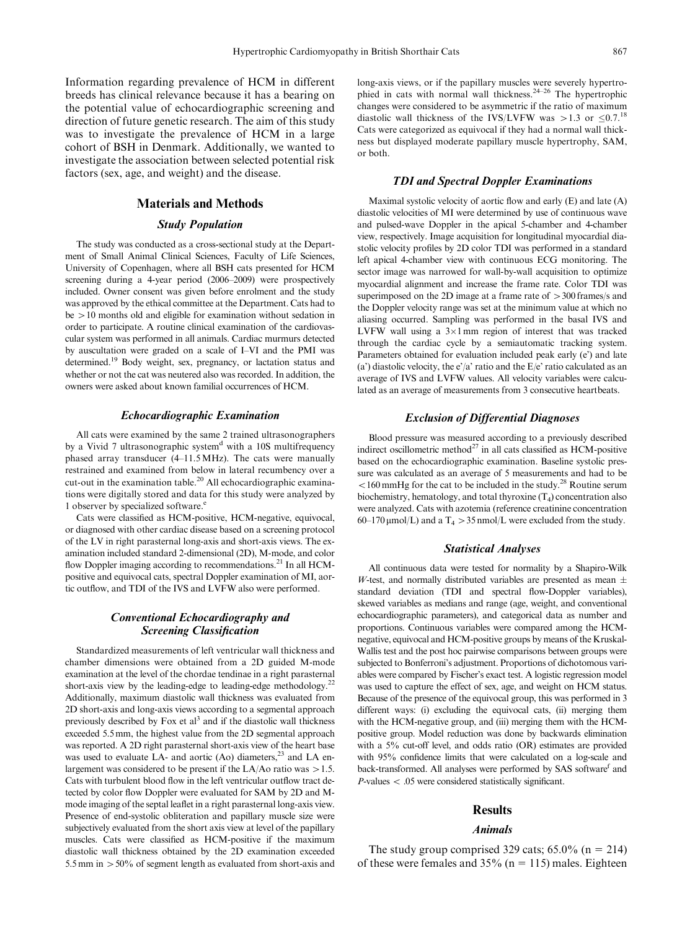Information regarding prevalence of HCM in different breeds has clinical relevance because it has a bearing on the potential value of echocardiographic screening and direction of future genetic research. The aim of this study was to investigate the prevalence of HCM in a large cohort of BSH in Denmark. Additionally, we wanted to investigate the association between selected potential risk factors (sex, age, and weight) and the disease.

### Materials and Methods

# Study Population

The study was conducted as a cross-sectional study at the Department of Small Animal Clinical Sciences, Faculty of Life Sciences, University of Copenhagen, where all BSH cats presented for HCM screening during a 4-year period (2006–2009) were prospectively included. Owner consent was given before enrolment and the study was approved by the ethical committee at the Department. Cats had to  $be$   $>10$  months old and eligible for examination without sedation in order to participate. A routine clinical examination of the cardiovascular system was performed in all animals. Cardiac murmurs detected by auscultation were graded on a scale of I–VI and the PMI was determined.19 Body weight, sex, pregnancy, or lactation status and whether or not the cat was neutered also was recorded. In addition, the owners were asked about known familial occurrences of HCM.

### Echocardiographic Examination

All cats were examined by the same 2 trained ultrasonographers by a Vivid 7 ultrasonographic system<sup>d</sup> with a 10S multifrequency phased array transducer (4–11.5MHz). The cats were manually restrained and examined from below in lateral recumbency over a cut-out in the examination table.<sup>20</sup> All echocardiographic examinations were digitally stored and data for this study were analyzed by 1 observer by specialized software.<sup>e</sup>

Cats were classified as HCM-positive, HCM-negative, equivocal, or diagnosed with other cardiac disease based on a screening protocol of the LV in right parasternal long-axis and short-axis views. The examination included standard 2-dimensional (2D), M-mode, and color flow Doppler imaging according to recommendations.<sup>21</sup> In all HCMpositive and equivocal cats, spectral Doppler examination of MI, aortic outflow, and TDI of the IVS and LVFW also were performed.

# Conventional Echocardiography and Screening Classification

Standardized measurements of left ventricular wall thickness and chamber dimensions were obtained from a 2D guided M-mode examination at the level of the chordae tendinae in a right parasternal short-axis view by the leading-edge to leading-edge methodology.<sup>22</sup> Additionally, maximum diastolic wall thickness was evaluated from 2D short-axis and long-axis views according to a segmental approach previously described by Fox et  $al<sup>3</sup>$  and if the diastolic wall thickness exceeded 5.5 mm, the highest value from the 2D segmental approach was reported. A 2D right parasternal short-axis view of the heart base was used to evaluate LA- and aortic (Ao) diameters, $23$  and LA enlargement was considered to be present if the LA/Ao ratio was  $>1.5$ . Cats with turbulent blood flow in the left ventricular outflow tract detected by color flow Doppler were evaluated for SAM by 2D and Mmode imaging of the septal leaflet in a right parasternal long-axis view. Presence of end-systolic obliteration and papillary muscle size were subjectively evaluated from the short axis view at level of the papillary muscles. Cats were classified as HCM-positive if the maximum diastolic wall thickness obtained by the 2D examination exceeded 5.5 mm in  $>$  50% of segment length as evaluated from short-axis and long-axis views, or if the papillary muscles were severely hypertrophied in cats with normal wall thickness.24–26 The hypertrophic changes were considered to be asymmetric if the ratio of maximum diastolic wall thickness of the IVS/LVFW was  $>1.3$  or  $\leq 0.7$ .<sup>18</sup> Cats were categorized as equivocal if they had a normal wall thickness but displayed moderate papillary muscle hypertrophy, SAM, or both.

### TDI and Spectral Doppler Examinations

Maximal systolic velocity of aortic flow and early (E) and late (A) diastolic velocities of MI were determined by use of continuous wave and pulsed-wave Doppler in the apical 5-chamber and 4-chamber view, respectively. Image acquisition for longitudinal myocardial diastolic velocity profiles by 2D color TDI was performed in a standard left apical 4-chamber view with continuous ECG monitoring. The sector image was narrowed for wall-by-wall acquisition to optimize myocardial alignment and increase the frame rate. Color TDI was superimposed on the 2D image at a frame rate of  $>$ 300 frames/s and the Doppler velocity range was set at the minimum value at which no aliasing occurred. Sampling was performed in the basal IVS and LVFW wall using a  $3\times1$  mm region of interest that was tracked through the cardiac cycle by a semiautomatic tracking system. Parameters obtained for evaluation included peak early (e') and late (a') diastolic velocity, the e'/a' ratio and the  $E/e$ ' ratio calculated as an average of IVS and LVFW values. All velocity variables were calculated as an average of measurements from 3 consecutive heartbeats.

# Exclusion of Differential Diagnoses

Blood pressure was measured according to a previously described indirect oscillometric method $^{27}$  in all cats classified as HCM-positive based on the echocardiographic examination. Baseline systolic pressure was calculated as an average of 5 measurements and had to be  $<$ 160 mmHg for the cat to be included in the study.<sup>28</sup> Routine serum biochemistry, hematology, and total thyroxine  $(T_4)$  concentration also were analyzed. Cats with azotemia (reference creatinine concentration 60–170  $\mu$ mol/L) and a T<sub>4</sub> > 35 nmol/L were excluded from the study.

# Statistical Analyses

All continuous data were tested for normality by a Shapiro-Wilk W-test, and normally distributed variables are presented as mean  $\pm$ standard deviation (TDI and spectral flow-Doppler variables), skewed variables as medians and range (age, weight, and conventional echocardiographic parameters), and categorical data as number and proportions. Continuous variables were compared among the HCMnegative, equivocal and HCM-positive groups by means of the Kruskal-Wallis test and the post hoc pairwise comparisons between groups were subjected to Bonferroni's adjustment. Proportions of dichotomous variables were compared by Fischer's exact test. A logistic regression model was used to capture the effect of sex, age, and weight on HCM status. Because of the presence of the equivocal group, this was performed in 3 different ways: (i) excluding the equivocal cats, (ii) merging them with the HCM-negative group, and (iii) merging them with the HCMpositive group. Model reduction was done by backwards elimination with a 5% cut-off level, and odds ratio (OR) estimates are provided with 95% confidence limits that were calculated on a log-scale and back-transformed. All analyses were performed by SAS softwaref and  $P$ -values  $< .05$  were considered statistically significant.

# **Results**

#### Animals

The study group comprised 329 cats;  $65.0\%$  (n = 214) of these were females and  $35\%$  (n = 115) males. Eighteen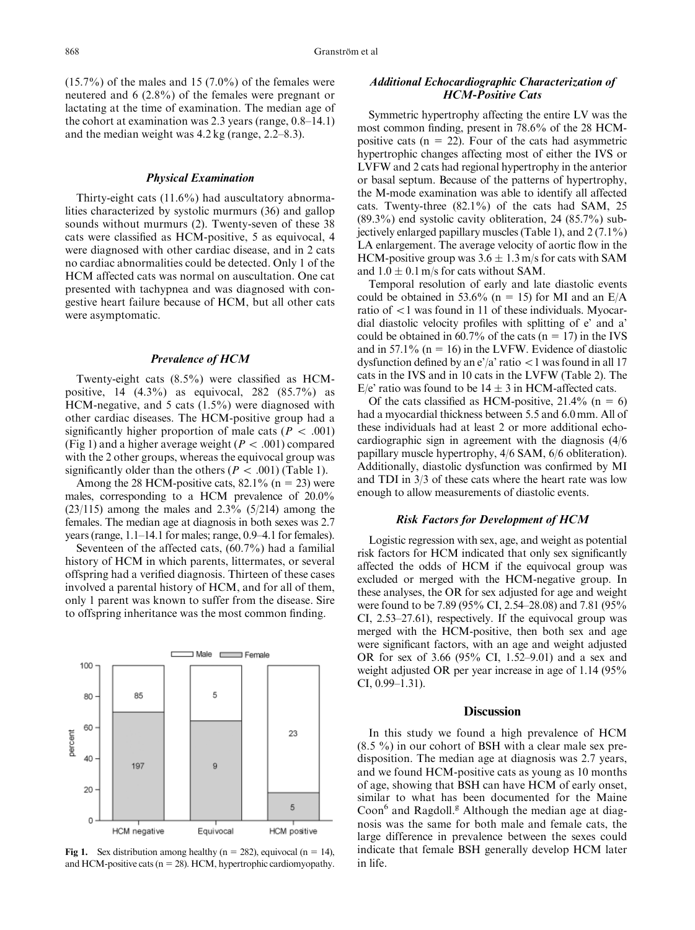$(15.7\%)$  of the males and 15  $(7.0\%)$  of the females were neutered and 6 (2.8%) of the females were pregnant or lactating at the time of examination. The median age of the cohort at examination was 2.3 years (range, 0.8–14.1) and the median weight was 4.2 kg (range, 2.2–8.3).

### Physical Examination

Thirty-eight cats (11.6%) had auscultatory abnormalities characterized by systolic murmurs (36) and gallop sounds without murmurs (2). Twenty-seven of these 38 cats were classified as HCM-positive, 5 as equivocal, 4 were diagnosed with other cardiac disease, and in 2 cats no cardiac abnormalities could be detected. Only 1 of the HCM affected cats was normal on auscultation. One cat presented with tachypnea and was diagnosed with congestive heart failure because of HCM, but all other cats were asymptomatic.

### Prevalence of HCM

Twenty-eight cats (8.5%) were classified as HCMpositive, 14 (4.3%) as equivocal, 282 (85.7%) as HCM-negative, and 5 cats (1.5%) were diagnosed with other cardiac diseases. The HCM-positive group had a significantly higher proportion of male cats ( $P < .001$ ) (Fig 1) and a higher average weight ( $P < .001$ ) compared with the 2 other groups, whereas the equivocal group was significantly older than the others ( $P < .001$ ) (Table 1).

Among the 28 HCM-positive cats,  $82.1\%$  (n = 23) were males, corresponding to a HCM prevalence of 20.0%  $(23/115)$  among the males and  $2.3\%$   $(5/214)$  among the females. The median age at diagnosis in both sexes was 2.7 years (range, 1.1–14.1 for males; range, 0.9–4.1 for females).

Seventeen of the affected cats, (60.7%) had a familial history of HCM in which parents, littermates, or several offspring had a verified diagnosis. Thirteen of these cases involved a parental history of HCM, and for all of them, only 1 parent was known to suffer from the disease. Sire to offspring inheritance was the most common finding.



Fig 1. Sex distribution among healthy ( $n = 282$ ), equivocal ( $n = 14$ ), and HCM-positive cats ( $n = 28$ ). HCM, hypertrophic cardiomyopathy.

# Additional Echocardiographic Characterization of HCM-Positive Cats

Symmetric hypertrophy affecting the entire LV was the most common finding, present in 78.6% of the 28 HCMpositive cats ( $n = 22$ ). Four of the cats had asymmetric hypertrophic changes affecting most of either the IVS or LVFW and 2 cats had regional hypertrophy in the anterior or basal septum. Because of the patterns of hypertrophy, the M-mode examination was able to identify all affected cats. Twenty-three (82.1%) of the cats had SAM, 25 (89.3%) end systolic cavity obliteration, 24 (85.7%) subjectively enlarged papillary muscles (Table 1), and  $2(7.1\%)$ LA enlargement. The average velocity of aortic flow in the HCM-positive group was  $3.6 \pm 1.3$  m/s for cats with SAM and  $1.0 \pm 0.1$  m/s for cats without SAM.

Temporal resolution of early and late diastolic events could be obtained in 53.6% (n = 15) for MI and an  $E/A$ ratio of  $\langle 1 \rangle$  was found in 11 of these individuals. Myocardial diastolic velocity profiles with splitting of e' and a' could be obtained in  $60.7\%$  of the cats (n = 17) in the IVS and in 57.1% ( $n = 16$ ) in the LVFW. Evidence of diastolic dysfunction defined by an  $e'/a'$  ratio  $\lt 1$  was found in all 17 cats in the IVS and in 10 cats in the LVFW (Table 2). The E/e' ratio was found to be  $14 \pm 3$  in HCM-affected cats.

Of the cats classified as HCM-positive,  $21.4\%$  (n = 6) had a myocardial thickness between 5.5 and 6.0 mm. All of these individuals had at least 2 or more additional echocardiographic sign in agreement with the diagnosis (4/6 papillary muscle hypertrophy, 4/6 SAM, 6/6 obliteration). Additionally, diastolic dysfunction was confirmed by MI and TDI in 3/3 of these cats where the heart rate was low enough to allow measurements of diastolic events.

### Risk Factors for Development of HCM

Logistic regression with sex, age, and weight as potential risk factors for HCM indicated that only sex significantly affected the odds of HCM if the equivocal group was excluded or merged with the HCM-negative group. In these analyses, the OR for sex adjusted for age and weight were found to be 7.89 (95% CI, 2.54–28.08) and 7.81 (95% CI, 2.53–27.61), respectively. If the equivocal group was merged with the HCM-positive, then both sex and age were significant factors, with an age and weight adjusted OR for sex of 3.66 (95% CI, 1.52–9.01) and a sex and weight adjusted OR per year increase in age of 1.14 (95% CI, 0.99–1.31).

#### **Discussion**

In this study we found a high prevalence of HCM  $(8.5 \%)$  in our cohort of BSH with a clear male sex predisposition. The median age at diagnosis was 2.7 years, and we found HCM-positive cats as young as 10 months of age, showing that BSH can have HCM of early onset, similar to what has been documented for the Maine Coon<sup>6</sup> and Ragdoll.<sup>g</sup> Although the median age at diagnosis was the same for both male and female cats, the large difference in prevalence between the sexes could indicate that female BSH generally develop HCM later in life.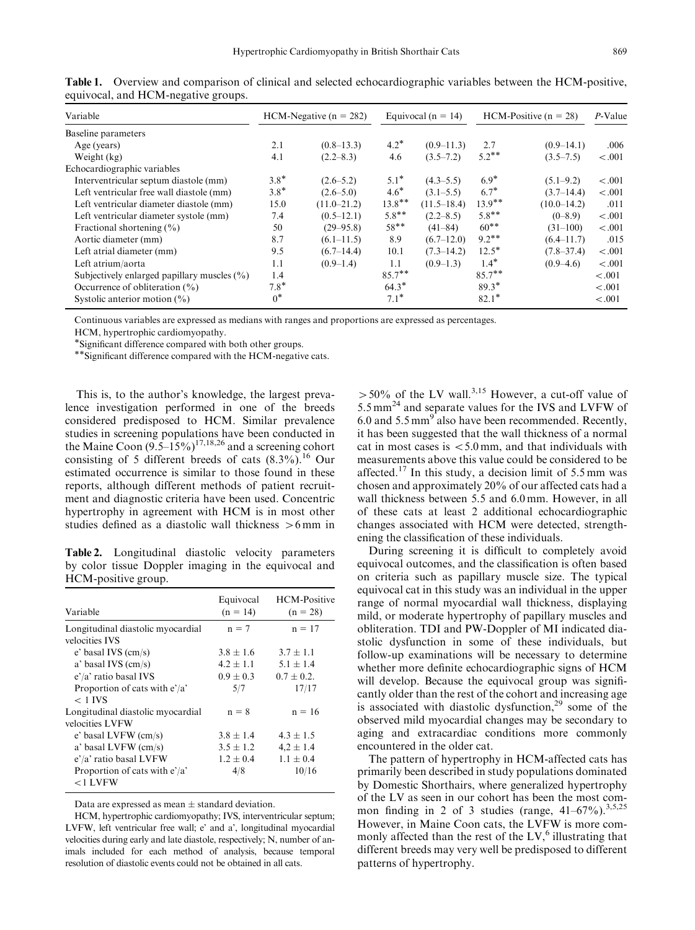| Variable                                        | HCM-Negative ( $n = 282$ ) |                 | Equivocal ( $n = 14$ ) |                 | HCM-Positive $(n = 28)$ |                 | $P$ -Value |
|-------------------------------------------------|----------------------------|-----------------|------------------------|-----------------|-------------------------|-----------------|------------|
| Baseline parameters                             |                            |                 |                        |                 |                         |                 |            |
| Age (years)                                     | 2.1                        | $(0.8-13.3)$    | $4.2*$                 | $(0.9 - 11.3)$  | 2.7                     | $(0.9-14.1)$    | .006       |
| Weight (kg)                                     | 4.1                        | $(2.2 - 8.3)$   | 4.6                    | $(3.5 - 7.2)$   | $5.2$ **                | $(3.5 - 7.5)$   | $-.001$    |
| Echocardiographic variables                     |                            |                 |                        |                 |                         |                 |            |
| Interventricular septum diastole (mm)           | $3.8*$                     | $(2.6 - 5.2)$   | $5.1*$                 | $(4.3 - 5.5)$   | $6.9*$                  | $(5.1 - 9.2)$   | $-.001$    |
| Left ventricular free wall diastole (mm)        | $3.8*$                     | $(2.6 - 5.0)$   | $4.6*$                 | $(3.1 - 5.5)$   | $6.7*$                  | $(3.7 - 14.4)$  | $-.001$    |
| Left ventricular diameter diastole (mm)         | 15.0                       | $(11.0 - 21.2)$ | $13.8$ **              | $(11.5 - 18.4)$ | $13.9***$               | $(10.0 - 14.2)$ | .011       |
| Left ventricular diameter systole (mm)          | 7.4                        | $(0.5-12.1)$    | $5.8***$               | $(2.2 - 8.5)$   | $5.8**$                 | $(0-8.9)$       | $-.001$    |
| Fractional shortening $(\% )$                   | 50                         | $(29 - 95.8)$   | $58***$                | $(41 - 84)$     | $60**$                  | $(31-100)$      | < .001     |
| Aortic diameter (mm)                            | 8.7                        | $(6.1 - 11.5)$  | 8.9                    | $(6.7 - 12.0)$  | $9.2$ **                | $(6.4 - 11.7)$  | .015       |
| Left atrial diameter (mm)                       | 9.5                        | $(6.7 - 14.4)$  | 10.1                   | $(7.3 - 14.2)$  | $12.5*$                 | $(7.8 - 37.4)$  | < .001     |
| Left atrium/aorta                               | 1.1                        | $(0.9-1.4)$     | 1.1                    | $(0.9-1.3)$     | $1.4*$                  | $(0.9-4.6)$     | < 0.001    |
| Subjectively enlarged papillary muscles $(\% )$ | 1.4                        |                 | $85.7***$              |                 | $85.7***$               |                 | < .001     |
| Occurrence of obliteration $(\% )$              | $7.8*$                     |                 | $64.3*$                |                 | $89.3*$                 |                 | < .001     |
| Systolic anterior motion $(\% )$                | $0^*$                      |                 | $7.1*$                 |                 | $82.1*$                 |                 | < .001     |

Table 1. Overview and comparison of clinical and selected echocardiographic variables between the HCM-positive, equivocal, and HCM-negative groups.

Continuous variables are expressed as medians with ranges and proportions are expressed as percentages.

HCM, hypertrophic cardiomyopathy.

-Significant difference compared with both other groups.

\*\*Significant difference compared with the HCM-negative cats.

This is, to the author's knowledge, the largest prevalence investigation performed in one of the breeds considered predisposed to HCM. Similar prevalence studies in screening populations have been conducted in the Maine Coon  $(9.5-15\%)^{17,18,26}$  and a screening cohort consisting of 5 different breeds of cats  $(8.3\%)$ .<sup>16</sup> Our estimated occurrence is similar to those found in these reports, although different methods of patient recruitment and diagnostic criteria have been used. Concentric hypertrophy in agreement with HCM is in most other studies defined as a diastolic wall thickness  $>6$  mm in

Table 2. Longitudinal diastolic velocity parameters by color tissue Doppler imaging in the equivocal and HCM-positive group.

| Variable                                             | Equivocal<br>$(n = 14)$ | <b>HCM-Positive</b><br>$(n = 28)$ |
|------------------------------------------------------|-------------------------|-----------------------------------|
| Longitudinal diastolic myocardial<br>velocities IVS  | $n = 7$                 | $n = 17$                          |
| $e'$ basal IVS (cm/s)                                | $3.8 + 1.6$             | $3.7 \pm 1.1$                     |
| a' basal IVS $\text{(cm/s)}$                         | $4.2 \pm 1.1$           | $5.1 + 1.4$                       |
| $e^{\prime}/a^{\prime}$ ratio basal IVS              | $0.9 \pm 0.3$           | $0.7 + 0.2$                       |
| Proportion of cats with $e^2/a^2$<br>$< 1$ IVS       | 5/7                     | 17/17                             |
| Longitudinal diastolic myocardial<br>velocities LVFW | $n = 8$                 | $n = 16$                          |
| $e'$ basal LVFW (cm/s)                               | $3.8 + 1.4$             | $4.3 + 1.5$                       |
| a' basal LVFW (cm/s)                                 | $3.5 \pm 1.2$           | $4.2 \pm 1.4$                     |
| e'/a' ratio basal LVFW                               | $1.2 + 0.4$             | $1.1 + 0.4$                       |
| Proportion of cats with $e^2/a^2$<br>$<$ 1 LVFW      | 4/8                     | 10/16                             |

Data are expressed as mean  $\pm$  standard deviation.

HCM, hypertrophic cardiomyopathy; IVS, interventricular septum; LVFW, left ventricular free wall; e' and a', longitudinal myocardial velocities during early and late diastole, respectively; N, number of animals included for each method of analysis, because temporal resolution of diastolic events could not be obtained in all cats.

 $>50\%$  of the LV wall.<sup>3,15</sup> However, a cut-off value of  $5.5 \text{ mm}^{24}$  and separate values for the IVS and LVFW of 6.0 and  $5.5 \text{ mm}^9$  also have been recommended. Recently, it has been suggested that the wall thickness of a normal cat in most cases is  $< 5.0$  mm, and that individuals with measurements above this value could be considered to be affected.<sup>17</sup> In this study, a decision limit of  $5.5 \text{ mm}$  was chosen and approximately 20% of our affected cats had a wall thickness between 5.5 and 6.0 mm. However, in all of these cats at least 2 additional echocardiographic changes associated with HCM were detected, strengthening the classification of these individuals.

During screening it is difficult to completely avoid equivocal outcomes, and the classification is often based on criteria such as papillary muscle size. The typical equivocal cat in this study was an individual in the upper range of normal myocardial wall thickness, displaying mild, or moderate hypertrophy of papillary muscles and obliteration. TDI and PW-Doppler of MI indicated diastolic dysfunction in some of these individuals, but follow-up examinations will be necessary to determine whether more definite echocardiographic signs of HCM will develop. Because the equivocal group was significantly older than the rest of the cohort and increasing age is associated with diastolic dysfunction, $29$  some of the observed mild myocardial changes may be secondary to aging and extracardiac conditions more commonly encountered in the older cat.

The pattern of hypertrophy in HCM-affected cats has primarily been described in study populations dominated by Domestic Shorthairs, where generalized hypertrophy of the LV as seen in our cohort has been the most common finding in 2 of 3 studies (range,  $41-67\%$ ).<sup>3,5,25</sup> However, in Maine Coon cats, the LVFW is more commonly affected than the rest of the LV, $<sup>6</sup>$  illustrating that</sup> different breeds may very well be predisposed to different patterns of hypertrophy.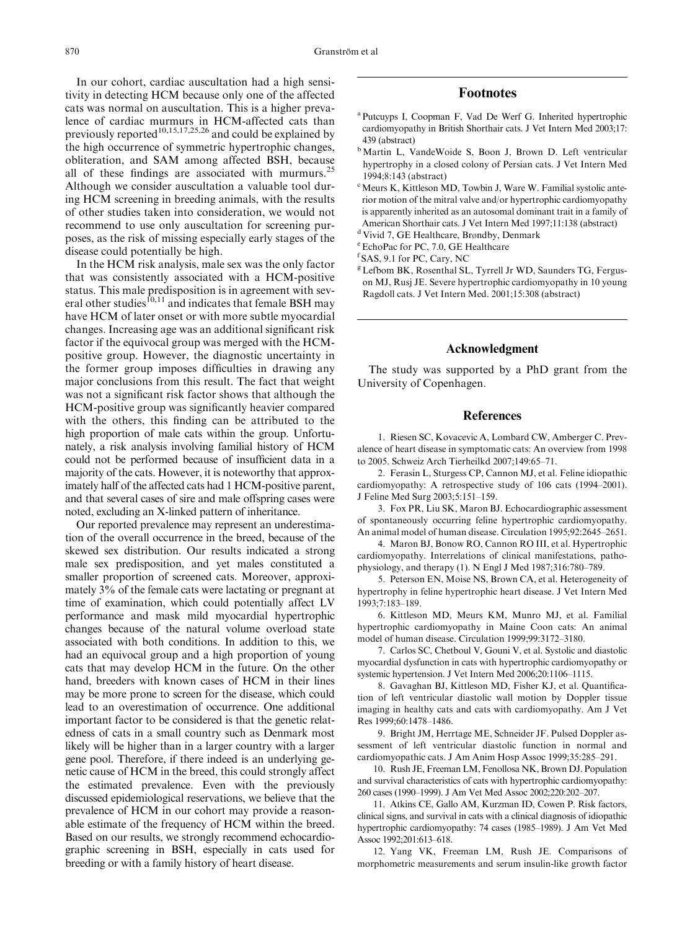In our cohort, cardiac auscultation had a high sensitivity in detecting HCM because only one of the affected cats was normal on auscultation. This is a higher prevalence of cardiac murmurs in HCM-affected cats than previously reported<sup>10,15,17,25,26</sup> and could be explained by the high occurrence of symmetric hypertrophic changes, obliteration, and SAM among affected BSH, because all of these findings are associated with murmurs.<sup>2</sup> Although we consider auscultation a valuable tool during HCM screening in breeding animals, with the results of other studies taken into consideration, we would not recommend to use only auscultation for screening purposes, as the risk of missing especially early stages of the disease could potentially be high.

In the HCM risk analysis, male sex was the only factor that was consistently associated with a HCM-positive status. This male predisposition is in agreement with several other studies $^{10,11}$  and indicates that female BSH may have HCM of later onset or with more subtle myocardial changes. Increasing age was an additional significant risk factor if the equivocal group was merged with the HCMpositive group. However, the diagnostic uncertainty in the former group imposes difficulties in drawing any major conclusions from this result. The fact that weight was not a significant risk factor shows that although the HCM-positive group was significantly heavier compared with the others, this finding can be attributed to the high proportion of male cats within the group. Unfortunately, a risk analysis involving familial history of HCM could not be performed because of insufficient data in a majority of the cats. However, it is noteworthy that approximately half of the affected cats had 1 HCM-positive parent, and that several cases of sire and male offspring cases were noted, excluding an X-linked pattern of inheritance.

Our reported prevalence may represent an underestimation of the overall occurrence in the breed, because of the skewed sex distribution. Our results indicated a strong male sex predisposition, and yet males constituted a smaller proportion of screened cats. Moreover, approximately 3% of the female cats were lactating or pregnant at time of examination, which could potentially affect LV performance and mask mild myocardial hypertrophic changes because of the natural volume overload state associated with both conditions. In addition to this, we had an equivocal group and a high proportion of young cats that may develop HCM in the future. On the other hand, breeders with known cases of HCM in their lines may be more prone to screen for the disease, which could lead to an overestimation of occurrence. One additional important factor to be considered is that the genetic relatedness of cats in a small country such as Denmark most likely will be higher than in a larger country with a larger gene pool. Therefore, if there indeed is an underlying genetic cause of HCM in the breed, this could strongly affect the estimated prevalence. Even with the previously discussed epidemiological reservations, we believe that the prevalence of HCM in our cohort may provide a reasonable estimate of the frequency of HCM within the breed. Based on our results, we strongly recommend echocardiographic screening in BSH, especially in cats used for breeding or with a family history of heart disease.

# Footnotes

- <sup>a</sup> Putcuyps I, Coopman F, Vad De Werf G. Inherited hypertrophic cardiomyopathy in British Shorthair cats. J Vet Intern Med 2003;17: 439 (abstract)
- <sup>b</sup>Martin L, VandeWoide S, Boon J, Brown D. Left ventricular hypertrophy in a closed colony of Persian cats. J Vet Intern Med 1994;8:143 (abstract)
- c Meurs K, Kittleson MD, Towbin J, Ware W. Familial systolic anterior motion of the mitral valve and/or hypertrophic cardiomyopathy is apparently inherited as an autosomal dominant trait in a family of American Shorthair cats. J Vet Intern Med 1997;11:138 (abstract)
- <sup>d</sup> Vivid 7, GE Healthcare, Brøndby, Denmark<br><sup>e</sup> Echo Bog for BC, 7.0, GE Healthcare
- EchoPac for PC, 7.0, GE Healthcare
- f SAS, 9.1 for PC, Cary, NC
- <sup>g</sup> Lefbom BK, Rosenthal SL, Tyrrell Jr WD, Saunders TG, Ferguson MJ, Rusj JE. Severe hypertrophic cardiomyopathy in 10 young Ragdoll cats. J Vet Intern Med. 2001;15:308 (abstract)

### Acknowledgment

The study was supported by a PhD grant from the University of Copenhagen.

# References

1. Riesen SC, Kovacevic A, Lombard CW, Amberger C. Prevalence of heart disease in symptomatic cats: An overview from 1998 to 2005. Schweiz Arch Tierheilkd 2007;149:65–71.

2. Ferasin L, Sturgess CP, Cannon MJ, et al. Feline idiopathic cardiomyopathy: A retrospective study of 106 cats (1994–2001). J Feline Med Surg 2003;5:151–159.

3. Fox PR, Liu SK, Maron BJ. Echocardiographic assessment of spontaneously occurring feline hypertrophic cardiomyopathy. An animal model of human disease. Circulation 1995;92:2645–2651.

4. Maron BJ, Bonow RO, Cannon RO III, et al. Hypertrophic cardiomyopathy. Interrelations of clinical manifestations, pathophysiology, and therapy (1). N Engl J Med 1987;316:780–789.

5. Peterson EN, Moise NS, Brown CA, et al. Heterogeneity of hypertrophy in feline hypertrophic heart disease. J Vet Intern Med 1993;7:183–189.

6. Kittleson MD, Meurs KM, Munro MJ, et al. Familial hypertrophic cardiomyopathy in Maine Coon cats: An animal model of human disease. Circulation 1999;99:3172–3180.

7. Carlos SC, Chetboul V, Gouni V, et al. Systolic and diastolic myocardial dysfunction in cats with hypertrophic cardiomyopathy or systemic hypertension. J Vet Intern Med 2006;20:1106–1115.

8. Gavaghan BJ, Kittleson MD, Fisher KJ, et al. Quantification of left ventricular diastolic wall motion by Doppler tissue imaging in healthy cats and cats with cardiomyopathy. Am J Vet Res 1999;60:1478–1486.

9. Bright JM, Herrtage ME, Schneider JF. Pulsed Doppler assessment of left ventricular diastolic function in normal and cardiomyopathic cats. J Am Anim Hosp Assoc 1999;35:285–291.

10. Rush JE, Freeman LM, Fenollosa NK, Brown DJ. Population and survival characteristics of cats with hypertrophic cardiomyopathy: 260 cases (1990–1999). J Am Vet Med Assoc 2002;220:202–207.

11. Atkins CE, Gallo AM, Kurzman ID, Cowen P. Risk factors, clinical signs, and survival in cats with a clinical diagnosis of idiopathic hypertrophic cardiomyopathy: 74 cases (1985–1989). J Am Vet Med Assoc 1992;201:613–618.

12. Yang VK, Freeman LM, Rush JE. Comparisons of morphometric measurements and serum insulin-like growth factor